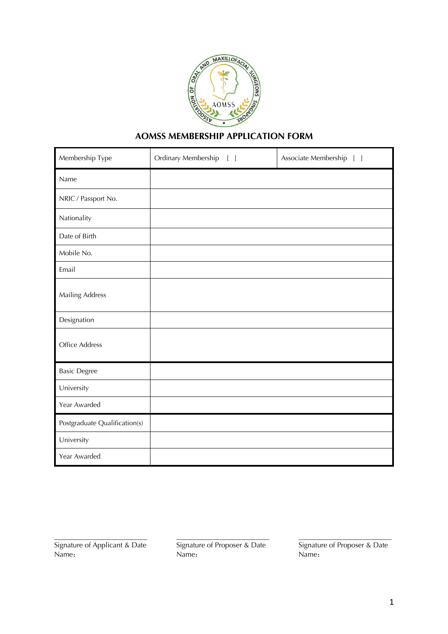

## **AOMSS MEMBERSHIP APPLICATION FORM**

| Membership Type               | Ordinary Membership<br>$\lceil \rceil$ | Associate Membership [ ] |
|-------------------------------|----------------------------------------|--------------------------|
| Name                          |                                        |                          |
| NRIC / Passport No.           |                                        |                          |
| Nationality                   |                                        |                          |
| Date of Birth                 |                                        |                          |
| Mobile No.                    |                                        |                          |
| Email                         |                                        |                          |
| Mailing Address               |                                        |                          |
| Designation                   |                                        |                          |
| Office Address                |                                        |                          |
| <b>Basic Degree</b>           |                                        |                          |
| University                    |                                        |                          |
| Year Awarded                  |                                        |                          |
| Postgraduate Qualification(s) |                                        |                          |
| University                    |                                        |                          |
| Year Awarded                  |                                        |                          |

\_\_\_\_\_\_\_\_\_\_\_\_\_\_\_\_\_\_\_\_\_\_\_\_\_\_ Signature of Applicant & Date Name:

\_\_\_\_\_\_\_\_\_\_\_\_\_\_\_\_\_\_\_\_\_\_\_\_\_\_ Signature of Proposer & Date Name:

\_\_\_\_\_\_\_\_\_\_\_\_\_\_\_\_\_\_\_\_\_\_\_\_\_\_ Signature of Proposer & Date Name: